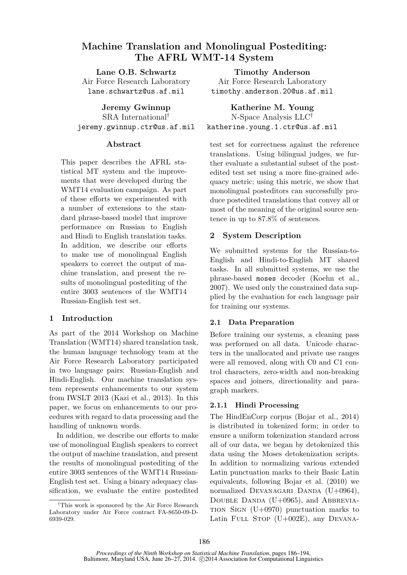# **Machine Translation and Monolingual Postediting: The AFRL WMT-14 System**

**Lane O.B. Schwartz** Air Force Research Laboratory lane.schwartz@us.af.mil

**Jeremy Gwinnup** SRA International† jeremy.gwinnup.ctr@us.af.mil

### **Abstract**

This paper describes the AFRL statistical MT system and the improvements that were developed during the WMT14 evaluation campaign. As part of these efforts we experimented with a number of extensions to the standard phrase-based model that improve performance on Russian to English and Hindi to English translation tasks. In addition, we describe our efforts to make use of monolingual English speakers to correct the output of machine translation, and present the results of monolingual postediting of the entire 3003 sentences of the WMT14 Russian-English test set.

# **1 Introduction**

As part of the 2014 Workshop on Machine Translation (WMT14) shared translation task, the human language technology team at the Air Force Research Laboratory participated in two language pairs: Russian-English and Hindi-English. Our machine translation system represents enhancements to our system from IWSLT 2013 (Kazi et al., 2013). In this paper, we focus on enhancements to our procedures with regard to data processing and the handling of unknown words.

In addition, we describe our efforts to make use of monolingual English speakers to correct the output of machine translation, and present the results of monolingual postediting of the entire 3003 sentences of the WMT14 Russian-English test set. Using a binary adequacy classification, we evaluate the entire postedited

**Timothy Anderson** Air Force Research Laboratory timothy.anderson.20@us.af.mil

**Katherine M. Young** N-Space Analysis LLC† katherine.young.1.ctr@us.af.mil

test set for correctness against the reference translations. Using bilingual judges, we further evaluate a substantial subset of the postedited test set using a more fine-grained adequacy metric; using this metric, we show that monolingual posteditors can successfully produce postedited translations that convey all or most of the meaning of the original source sentence in up to 87.8% of sentences.

# **2 System Description**

We submitted systems for the Russian-to-English and Hindi-to-English MT shared tasks. In all submitted systems, we use the phrase-based moses decoder (Koehn et al., 2007). We used only the constrained data supplied by the evaluation for each language pair for training our systems.

# **2.1 Data Preparation**

Before training our systems, a cleaning pass was performed on all data. Unicode characters in the unallocated and private use ranges were all removed, along with C0 and C1 control characters, zero-width and non-breaking spaces and joiners, directionality and paragraph markers.

# **2.1.1 Hindi Processing**

The HindEnCorp corpus (Bojar et al., 2014) is distributed in tokenized form; in order to ensure a uniform tokenization standard across all of our data, we began by detokenized this data using the Moses detokenization scripts. In addition to normalizing various extended Latin punctuation marks to their Basic Latin equivalents, following Bojar et al. (2010) we normalized DEVANAGARI DANDA  $(U+0964)$ , DOUBLE DANDA  $(U+0965)$ , and ABBREVIA-TION SIGN  $(U+0970)$  punctuation marks to Latin FULL STOP  $(U+002E)$ , any DEVANA-

*<sup>†</sup>*This work is sponsored by the Air Force Research Laboratory under Air Force contract FA-8650-09-D-6939-029.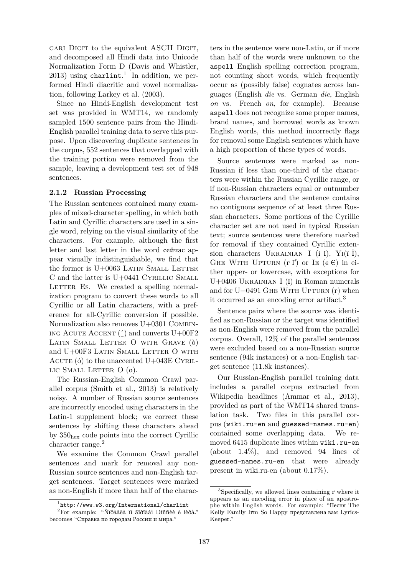GARI DIGIT to the equivalent ASCII DIGIT. and decomposed all Hindi data into Unicode Normalization Form D (Davis and Whistler,  $2013$ ) using charlint.<sup>1</sup> In addition, we performed Hindi diacritic and vowel normalization, following Larkey et al. (2003).

Since no Hindi-English development test set was provided in WMT14, we randomly sampled 1500 sentence pairs from the Hindi-English parallel training data to serve this purpose. Upon discovering duplicate sentences in the corpus, 552 sentences that overlapped with the training portion were removed from the sample, leaving a development test set of 948 sentences.

#### **2.1.2 Russian Processing**

The Russian sentences contained many examples of mixed-character spelling, in which both Latin and Cyrillic characters are used in a single word, relying on the visual similarity of the characters. For example, although the first letter and last letter in the word cейчас appear visually indistinguishable, we find that the former is  $U+0063$  LATIN SMALL LETTER C and the latter is U+0441 CYRILLIC SMALL LETTER ES. We created a spelling normalization program to convert these words to all Cyrillic or all Latin characters, with a preference for all-Cyrillic conversion if possible. Normalization also removes U+0301 Combin-ING ACUTE ACCENT  $(')$  and converts U+00F2 Latin Small Letter O with Grave (ò) and U+00F3 LATIN SMALL LETTER O WITH ACUTE (6) to the unaccented  $U+043E$  CYRILlic Small Letter O (о).

The Russian-English Common Crawl parallel corpus (Smith et al., 2013) is relatively noisy. A number of Russian source sentences are incorrectly encoded using characters in the Latin-1 supplement block; we correct these sentences by shifting these characters ahead by 350hex code points into the correct Cyrillic character range.<sup>2</sup>

We examine the Common Crawl parallel sentences and mark for removal any non-Russian source sentences and non-English target sentences. Target sentences were marked as non-English if more than half of the charac-

ters in the sentence were non-Latin, or if more than half of the words were unknown to the aspell English spelling correction program, not counting short words, which frequently occur as (possibly false) cognates across languages (English *die* vs. German *die*, English *on* vs. French *on*, for example). Because aspell does not recognize some proper names, brand names, and borrowed words as known English words, this method incorrectly flags for removal some English sentences which have a high proportion of these types of words.

Source sentences were marked as non-Russian if less than one-third of the characters were within the Russian Cyrillic range, or if non-Russian characters equal or outnumber Russian characters and the sentence contains no contiguous sequence of at least three Russian characters. Some portions of the Cyrillic character set are not used in typical Russian text; source sentences were therefore marked for removal if they contained Cyrillic extension characters UKRAINIAN I (i I), Y<sub>I</sub> $(i)$ , GHE WITH UPTURN  $(r \Gamma)$  or IE  $(\epsilon \epsilon)$  in either upper- or lowercase, with exceptions for U+0406 Ukrainian I (І) in Roman numerals and for U+0491 GHE WITH UPTURN  $(r)$  when it occurred as an encoding error artifact.<sup>3</sup>

Sentence pairs where the source was identified as non-Russian or the target was identified as non-English were removed from the parallel corpus. Overall, 12% of the parallel sentences were excluded based on a non-Russian source sentence (94k instances) or a non-English target sentence (11.8k instances).

Our Russian-English parallel training data includes a parallel corpus extracted from Wikipedia headlines (Ammar et al., 2013), provided as part of the WMT14 shared translation task. Two files in this parallel corpus (wiki.ru-en and guessed-names.ru-en) contained some overlapping data. We removed 6415 duplicate lines within wiki.ru-en (about 1.4%), and removed 94 lines of guessed-names.ru-en that were already present in wiki.ru-en (about 0.17%).

<sup>1</sup> http://www.w3.org/International/charlint

<sup>2</sup>For example: "Ñïðàâêà ïî ãîðîäàì Ðîññèè è ìèðà." becomes "Справка по городам России и мира."

<sup>3</sup>Specifically, we allowed lines containing ґ where it appears as an encoding error in place of an apostrophe within English words. For example: "Песня The Kelly Family Iґm So Happy представлена вам Lyrics-Keeper."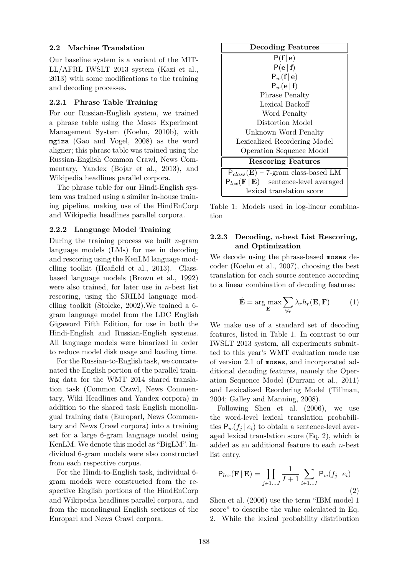#### **2.2 Machine Translation**

Our baseline system is a variant of the MIT-LL/AFRL IWSLT 2013 system (Kazi et al., 2013) with some modifications to the training and decoding processes.

### **2.2.1 Phrase Table Training**

For our Russian-English system, we trained a phrase table using the Moses Experiment Management System (Koehn, 2010b), with mgiza (Gao and Vogel, 2008) as the word aligner; this phrase table was trained using the Russian-English Common Crawl, News Commentary, Yandex (Bojar et al., 2013), and Wikipedia headlines parallel corpora.

The phrase table for our Hindi-English system was trained using a similar in-house training pipeline, making use of the HindEnCorp and Wikipedia headlines parallel corpora.

#### **2.2.2 Language Model Training**

During the training process we built  $n$ -gram language models (LMs) for use in decoding and rescoring using the KenLM language modelling toolkit (Heafield et al., 2013). Classbased language models (Brown et al., 1992) were also trained, for later use in  $n$ -best list rescoring, using the SRILM language modelling toolkit (Stolcke, 2002).We trained a 6 gram language model from the LDC English Gigaword Fifth Edition, for use in both the Hindi-English and Russian-English systems. All language models were binarized in order to reduce model disk usage and loading time.

For the Russian-to-English task, we concatenated the English portion of the parallel training data for the WMT 2014 shared translation task (Common Crawl, News Commentary, Wiki Headlines and Yandex corpora) in addition to the shared task English monolingual training data (Europarl, News Commentary and News Crawl corpora) into a training set for a large 6-gram language model using KenLM. We denote this model as "BigLM". Individual 6-gram models were also constructed from each respective corpus.

For the Hindi-to-English task, individual 6 gram models were constructed from the respective English portions of the HindEnCorp and Wikipedia headlines parallel corpora, and from the monolingual English sections of the Europarl and News Crawl corpora.



Table 1: Models used in log-linear combination

### **2.2.3 Decoding,** n**-best List Rescoring, and Optimization**

We decode using the phrase-based moses decoder (Koehn et al., 2007), choosing the best translation for each source sentence according to a linear combination of decoding features:

$$
\hat{\mathbf{E}} = \arg \max_{\mathbf{E}} \sum_{\forall r} \lambda_r h_r(\mathbf{E}, \mathbf{F}) \tag{1}
$$

We make use of a standard set of decoding features, listed in Table 1. In contrast to our IWSLT 2013 system, all experiments submitted to this year's WMT evaluation made use of version 2.1 of moses, and incorporated additional decoding features, namely the Operation Sequence Model (Durrani et al., 2011) and Lexicalized Reordering Model (Tillman, 2004; Galley and Manning, 2008).

Following Shen et al. (2006), we use the word-level lexical translation probabilities  $P_w(f_i | e_i)$  to obtain a sentence-level averaged lexical translation score (Eq. 2), which is added as an additional feature to each  $n$ -best list entry.

$$
P_{lex}(\mathbf{F} | \mathbf{E}) = \prod_{j \in 1...J} \frac{1}{I+1} \sum_{i \in 1...I} P_w(f_j | e_i)
$$
\n(2)

Shen et al. (2006) use the term "IBM model 1 score" to describe the value calculated in Eq. 2. While the lexical probability distribution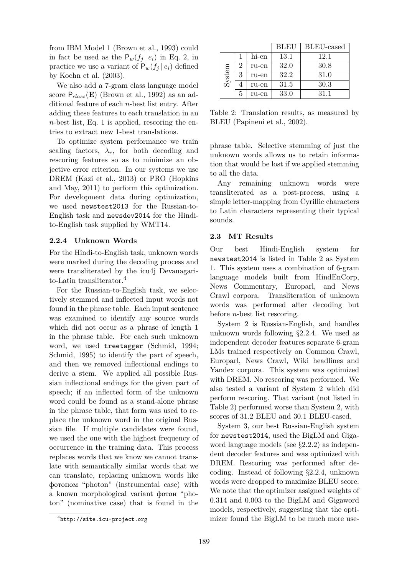from IBM Model 1 (Brown et al., 1993) could in fact be used as the  $P_w(f_i | e_i)$  in Eq. 2, in practice we use a variant of  $P_w(f_i | e_i)$  defined by Koehn et al. (2003).

We also add a 7-gram class language model score  $P_{class}(\mathbf{E})$  (Brown et al., 1992) as an additional feature of each n-best list entry. After adding these features to each translation in an  $n$ -best list, Eq. 1 is applied, rescoring the entries to extract new 1-best translations.

To optimize system performance we train scaling factors,  $\lambda_r$ , for both decoding and rescoring features so as to minimize an objective error criterion. In our systems we use DREM (Kazi et al., 2013) or PRO (Hopkins and May, 2011) to perform this optimization. For development data during optimization, we used newstest2013 for the Russian-to-English task and newsdev2014 for the Hindito-English task supplied by WMT14.

### **2.2.4 Unknown Words**

For the Hindi-to-English task, unknown words were marked during the decoding process and were transliterated by the icu4j Devanagarito-Latin transliterator.<sup>4</sup>

For the Russian-to-English task, we selectively stemmed and inflected input words not found in the phrase table. Each input sentence was examined to identify any source words which did not occur as a phrase of length 1 in the phrase table. For each such unknown word, we used treetagger (Schmid, 1994; Schmid, 1995) to identify the part of speech, and then we removed inflectional endings to derive a stem. We applied all possible Russian inflectional endings for the given part of speech; if an inflected form of the unknown word could be found as a stand-alone phrase in the phrase table, that form was used to replace the unknown word in the original Russian file. If multiple candidates were found, we used the one with the highest frequency of occurrence in the training data. This process replaces words that we know we cannot translate with semantically similar words that we can translate, replacing unknown words like фотоном "photon" (instrumental case) with a known morphological variant фотон "photon" (nominative case) that is found in the

|        |   |       | <b>BLEU</b> | BLEU-cased |
|--------|---|-------|-------------|------------|
| System |   | hi-en | 13.1        | 12.1       |
|        | 2 | ru-en | 32.0        | 30.8       |
|        | 3 | ru-en | 32.2        | 31.0       |
|        |   | ru-en | 31.5        | 30.3       |
|        | 5 | ru-en | 33.0        | 31.1       |

Table 2: Translation results, as measured by BLEU (Papineni et al., 2002).

phrase table. Selective stemming of just the unknown words allows us to retain information that would be lost if we applied stemming to all the data.

Any remaining unknown words were transliterated as a post-process, using a simple letter-mapping from Cyrillic characters to Latin characters representing their typical sounds.

#### **2.3 MT Results**

Our best Hindi-English system for newstest2014 is listed in Table 2 as System 1. This system uses a combination of 6-gram language models built from HindEnCorp, News Commentary, Europarl, and News Crawl corpora. Transliteration of unknown words was performed after decoding but before n-best list rescoring.

System 2 is Russian-English, and handles unknown words following *§*2.2.4. We used as independent decoder features separate 6-gram LMs trained respectively on Common Crawl, Europarl, News Crawl, Wiki headlines and Yandex corpora. This system was optimized with DREM. No rescoring was performed. We also tested a variant of System 2 which did perform rescoring. That variant (not listed in Table 2) performed worse than System 2, with scores of 31.2 BLEU and 30.1 BLEU-cased.

System 3, our best Russian-English system for newstest2014, used the BigLM and Gigaword language models (see *§*2.2.2) as independent decoder features and was optimized with DREM. Rescoring was performed after decoding. Instead of following *§*2.2.4, unknown words were dropped to maximize BLEU score. We note that the optimizer assigned weights of 0.314 and 0.003 to the BigLM and Gigaword models, respectively, suggesting that the optimizer found the BigLM to be much more use-

<sup>4</sup> http://site.icu-project.org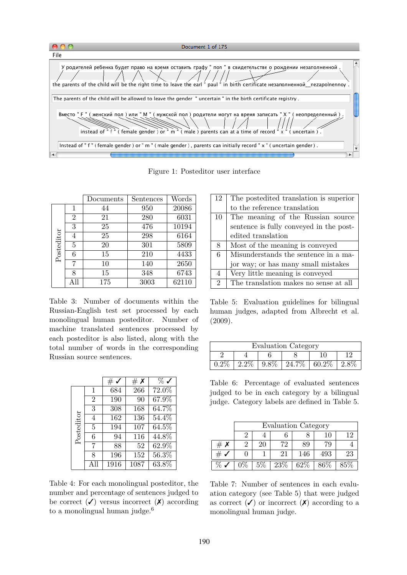|      | Document 1 of 175                                                                                                                                                                                                                        |                  |
|------|------------------------------------------------------------------------------------------------------------------------------------------------------------------------------------------------------------------------------------------|------------------|
| File |                                                                                                                                                                                                                                          |                  |
|      | У родителей ребенка будет право на время оставить графу " пол " в свидетельстве о рождении незаполненной<br>the parents of the child will be the right time to leave the earl " paul " in birth certificate незаполненной nezapolnennoy. | $\blacktriangle$ |
|      | The parents of the child will be allowed to leave the gender "uncertain" in the birth certificate registry.                                                                                                                              |                  |
|      | Вместо " F " (женский пол ) или " М " (мужской пол ) родители могут на время записать " Х " (неопределенный ) .<br>instead of "f" (female gender) or "m" (male) parents can at a time of record "x" (uncertain).                         |                  |
|      | Instead of "f" (female gender) or "m" (male gender), parents can initially record "x" (uncertain gender).                                                                                                                                |                  |
|      |                                                                                                                                                                                                                                          |                  |

Figure 1: Posteditor user interface

|            |                | Documents | Sentences | Words |
|------------|----------------|-----------|-----------|-------|
|            | 1              | 44        | 950       | 20086 |
|            | $\overline{2}$ | 21        | 280       | 6031  |
|            | 3              | 25        | 476       | 10194 |
| Posteditor | 4              | 25        | 298       | 6164  |
|            | 5              | 20        | 301       | 5809  |
|            | 6              | 15        | 210       | 4433  |
|            |                | 10        | 140       | 2650  |
|            | 8              | 15        | 348       | 6743  |
|            | All            | 175       | 3003      | 62110 |

Table 3: Number of documents within the Russian-English test set processed by each monolingual human posteditor. Number of machine translated sentences processed by each posteditor is also listed, along with the total number of words in the corresponding Russian source sentences.

|            |                | #           | # $\boldsymbol{\mathsf{x}}$ | $\%$ v              |
|------------|----------------|-------------|-----------------------------|---------------------|
|            | 1              | 684         | 266                         | $\overline{72.0\%}$ |
|            | $\overline{2}$ | 190         | 90                          | $67.\overline{9\%}$ |
|            | 3              | 308         | 168                         | 64.7%               |
|            | $\overline{4}$ | 162         | 136                         | 54.4%               |
| Posteditor | 5              | 194         | 107                         | $64.5\%$            |
|            | 6              | 94          | 116                         | 44.8%               |
|            | 7              | 88          | 52                          | 62.9%               |
|            | 8              | 196         | 152                         | $\overline{56.3\%}$ |
|            | A 11           | <b>1916</b> | 1087                        | $63.8\%$            |

Table 4: For each monolingual posteditor, the number and percentage of sentences judged to be correct  $(\checkmark)$  versus incorrect  $(\checkmark)$  according to a monolingual human judge.<sup>6</sup>

| 12             | The postedited translation is superior  |  |  |  |  |  |
|----------------|-----------------------------------------|--|--|--|--|--|
|                | to the reference translation            |  |  |  |  |  |
| 10             | The meaning of the Russian source       |  |  |  |  |  |
|                | sentence is fully conveyed in the post- |  |  |  |  |  |
|                | edited translation                      |  |  |  |  |  |
| 8              | Most of the meaning is conveyed         |  |  |  |  |  |
| 6              | Misunderstands the sentence in a ma-    |  |  |  |  |  |
|                | jor way; or has many small mistakes     |  |  |  |  |  |
| $\overline{4}$ | Very little meaning is conveyed         |  |  |  |  |  |
| $\overline{2}$ | The translation makes no sense at all   |  |  |  |  |  |

Table 5: Evaluation guidelines for bilingual human judges, adapted from Albrecht et al. (2009).

| <b>Evaluation Category</b> |  |         |        |       |  |  |  |
|----------------------------|--|---------|--------|-------|--|--|--|
|                            |  |         |        |       |  |  |  |
|                            |  | $9.8\%$ | 24.7\% | 60.2% |  |  |  |

Table 6: Percentage of evaluated sentences judged to be in each category by a bilingual judge. Category labels are defined in Table 5.

|        | <b>Evaluation Category</b> |       |     |     |        |        |  |
|--------|----------------------------|-------|-----|-----|--------|--------|--|
|        | 19<br>10                   |       |     |     |        |        |  |
| #<br>Х |                            | 20    | 72  | 89  | 79     |        |  |
| #      |                            |       | 21  | 146 | 493    | 23     |  |
|        |                            | $5\%$ | 23% | 62% | $86\%$ | $85\%$ |  |

Table 7: Number of sentences in each evaluation category (see Table 5) that were judged as correct  $(\checkmark)$  or incorrect  $(\checkmark)$  according to a monolingual human judge.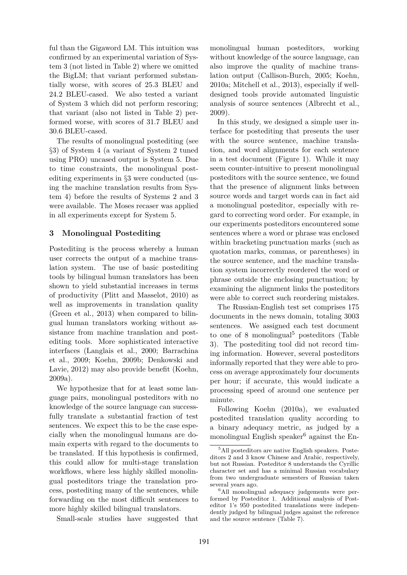ful than the Gigaword LM. This intuition was confirmed by an experimental variation of System 3 (not listed in Table 2) where we omitted the BigLM; that variant performed substantially worse, with scores of 25.3 BLEU and 24.2 BLEU-cased. We also tested a variant of System 3 which did not perform rescoring; that variant (also not listed in Table 2) performed worse, with scores of 31.7 BLEU and 30.6 BLEU-cased.

The results of monolingual postediting (see *§*3) of System 4 (a variant of System 2 tuned using PRO) uncased output is System 5. Due to time constraints, the monolingual postediting experiments in *§*3 were conducted (using the machine translation results from System 4) before the results of Systems 2 and 3 were available. The Moses recaser was applied in all experiments except for System 5.

# **3 Monolingual Postediting**

Postediting is the process whereby a human user corrects the output of a machine translation system. The use of basic postediting tools by bilingual human translators has been shown to yield substantial increases in terms of productivity (Plitt and Masselot, 2010) as well as improvements in translation quality (Green et al., 2013) when compared to bilingual human translators working without assistance from machine translation and postediting tools. More sophisticated interactive interfaces (Langlais et al., 2000; Barrachina et al., 2009; Koehn, 2009b; Denkowski and Lavie, 2012) may also provide benefit (Koehn, 2009a).

We hypothesize that for at least some language pairs, monolingual posteditors with no knowledge of the source language can successfully translate a substantial fraction of test sentences. We expect this to be the case especially when the monolingual humans are domain experts with regard to the documents to be translated. If this hypothesis is confirmed, this could allow for multi-stage translation workflows, where less highly skilled monolingual posteditors triage the translation process, postediting many of the sentences, while forwarding on the most difficult sentences to more highly skilled bilingual translators.

Small-scale studies have suggested that

monolingual human posteditors, working without knowledge of the source language, can also improve the quality of machine translation output (Callison-Burch, 2005; Koehn, 2010a; Mitchell et al., 2013), especially if welldesigned tools provide automated linguistic analysis of source sentences (Albrecht et al., 2009).

In this study, we designed a simple user interface for postediting that presents the user with the source sentence, machine translation, and word alignments for each sentence in a test document (Figure 1). While it may seem counter-intuitive to present monolingual posteditors with the source sentence, we found that the presence of alignment links between source words and target words can in fact aid a monolingual posteditor, especially with regard to correcting word order. For example, in our experiments posteditors encountered some sentences where a word or phrase was enclosed within bracketing punctuation marks (such as quotation marks, commas, or parentheses) in the source sentence, and the machine translation system incorrectly reordered the word or phrase outside the enclosing punctuation; by examining the alignment links the posteditors were able to correct such reordering mistakes.

The Russian-English test set comprises 175 documents in the news domain, totaling 3003 sentences. We assigned each test document to one of 8 monolingual<sup>5</sup> posteditors (Table 3). The postediting tool did not record timing information. However, several posteditors informally reported that they were able to process on average approximately four documents per hour; if accurate, this would indicate a processing speed of around one sentence per minute.

Following Koehn (2010a), we evaluated postedited translation quality according to a binary adequacy metric, as judged by a monolingual English speaker $6$  against the En-

<sup>5</sup>All posteditors are native English speakers. Posteditors 2 and 3 know Chinese and Arabic, respectively, but not Russian. Posteditor 8 understands the Cyrillic character set and has a minimal Russian vocabulary from two undergraduate semesters of Russian taken several years ago.

<sup>6</sup>All monolingual adequacy judgements were performed by Posteditor 1. Additional analysis of Posteditor 1's 950 postedited translations were independently judged by bilingual judges against the reference and the source sentence (Table 7).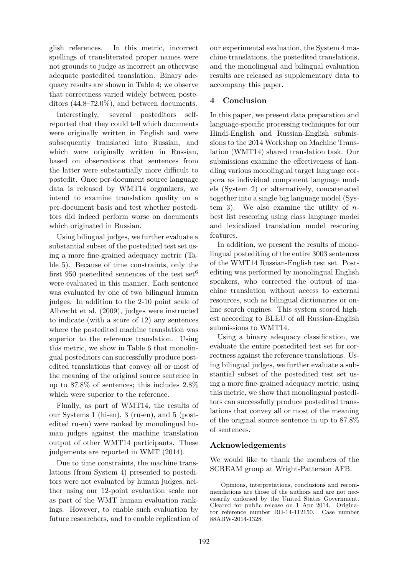glish references. In this metric, incorrect spellings of transliterated proper names were not grounds to judge as incorrect an otherwise adequate postedited translation. Binary adequacy results are shown in Table 4; we observe that correctness varied widely between posteditors (44.8–72.0%), and between documents.

Interestingly, several posteditors selfreported that they could tell which documents were originally written in English and were subsequently translated into Russian, and which were originally written in Russian, based on observations that sentences from the latter were substantially more difficult to postedit. Once per-document source language data is released by WMT14 organizers, we intend to examine translation quality on a per-document basis and test whether posteditors did indeed perform worse on documents which originated in Russian.

Using bilingual judges, we further evaluate a substantial subset of the postedited test set using a more fine-grained adequacy metric (Table 5). Because of time constraints, only the first 950 postedited sentences of the test set<sup>6</sup> were evaluated in this manner. Each sentence was evaluated by one of two bilingual human judges. In addition to the 2-10 point scale of Albrecht et al. (2009), judges were instructed to indicate (with a score of 12) any sentences where the postedited machine translation was superior to the reference translation. Using this metric, we show in Table 6 that monolingual posteditors can successfully produce postedited translations that convey all or most of the meaning of the original source sentence in up to 87.8% of sentences; this includes 2.8% which were superior to the reference.

Finally, as part of WMT14, the results of our Systems 1 (hi-en), 3 (ru-en), and 5 (postedited ru-en) were ranked by monolingual human judges against the machine translation output of other WMT14 participants. These judgements are reported in WMT (2014).

Due to time constraints, the machine translations (from System 4) presented to posteditors were not evaluated by human judges, neither using our 12-point evaluation scale nor as part of the WMT human evaluation rankings. However, to enable such evaluation by future researchers, and to enable replication of our experimental evaluation, the System 4 machine translations, the postedited translations, and the monolingual and bilingual evaluation results are released as supplementary data to accompany this paper.

# **4 Conclusion**

In this paper, we present data preparation and language-specific processing techniques for our Hindi-English and Russian-English submissions to the 2014 Workshop on Machine Translation (WMT14) shared translation task. Our submissions examine the effectiveness of handling various monolingual target language corpora as individual component language models (System 2) or alternatively, concatenated together into a single big language model (System 3). We also examine the utility of  $n$ best list rescoring using class language model and lexicalized translation model rescoring features.

In addition, we present the results of monolingual postediting of the entire 3003 sentences of the WMT14 Russian-English test set. Postediting was performed by monolingual English speakers, who corrected the output of machine translation without access to external resources, such as bilingual dictionaries or online search engines. This system scored highest according to BLEU of all Russian-English submissions to WMT14.

Using a binary adequacy classification, we evaluate the entire postedited test set for correctness against the reference translations. Using bilingual judges, we further evaluate a substantial subset of the postedited test set using a more fine-grained adequacy metric; using this metric, we show that monolingual posteditors can successfully produce postedited translations that convey all or most of the meaning of the original source sentence in up to 87.8% of sentences.

# **Acknowledgements**

We would like to thank the members of the SCREAM group at Wright-Patterson AFB.

Opinions, interpretations, conclusions and recommendations are those of the authors and are not necessarily endorsed by the United States Government. Cleared for public release on 1 Apr 2014. Originator reference number RH-14-112150. Case number 88ABW-2014-1328.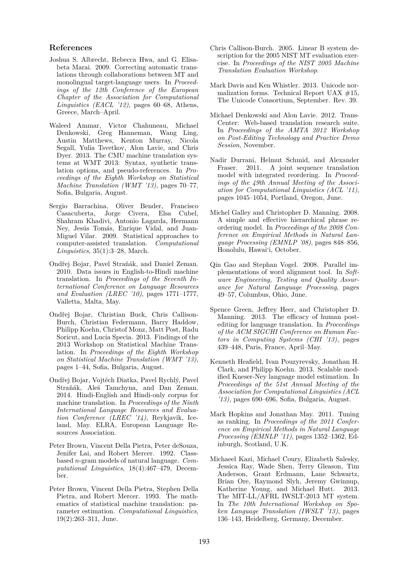#### **References**

- Joshua S. Albrecht, Rebecca Hwa, and G. Elisabeta Marai. 2009. Correcting automatic translations through collaborations between MT and monolingual target-language users. In *Proceedings of the 12th Conference of the European Chapter of the Association for Computational Linguistics (EACL '12)*, pages 60–68, Athens, Greece, March–April.
- Waleed Ammar, Victor Chahuneau, Michael Denkowski, Greg Hanneman, Wang Ling, Austin Matthews, Kenton Murray, Nicola Segall, Yulia Tsvetkov, Alon Lavie, and Chris Dyer. 2013. The CMU machine translation systems at WMT 2013: Syntax, synthetic translation options, and pseudo-references. In *Proceedings of the Eighth Workshop on Statistical Machine Translation (WMT '13)*, pages 70–77, Sofia, Bulgaria, August.
- Sergio Barrachina, Oliver Bender, Francisco Casacuberta, Jorge Civera, Elsa Cubel, Shahram Khadivi, Antonio Lagarda, Hermann Ney, Jesús Tomás, Enrique Vidal, and Juan-Miguel Vilar. 2009. Statistical approaches to computer-assisted translation. *Computational Linguistics*, 35(1):3–28, March.
- Ondřej Bojar, Pavel Straňák, and Daniel Zeman. 2010. Data issues in English-to-Hindi machine translation. In *Proceedings of the Seventh International Conference on Language Resources and Evaluation (LREC '10)*, pages 1771–1777, Valletta, Malta, May.
- Ondřej Bojar, Christian Buck, Chris Callison-Burch, Christian Federmann, Barry Haddow, Philipp Koehn, Christof Monz, Matt Post, Radu Soricut, and Lucia Specia. 2013. Findings of the 2013 Workshop on Statistical Machine Translation. In *Proceedings of the Eighth Workshop on Statistical Machine Translation (WMT '13)*, pages 1–44, Sofia, Bulgaria, August.
- Ondřej Bojar, Vojtěch Diatka, Pavel Rychlý, Pavel Straňák, Aleš Tamchyna, and Dan Zeman. 2014. Hindi-English and Hindi-only corpus for machine translation. In *Proceedings of the Ninth International Language Resources and Evaluation Conference (LREC '14)*, Reykjavik, Iceland, May. ELRA, European Language Resources Association.
- Peter Brown, Vincent Della Pietra, Peter deSouza, Jenifer Lai, and Robert Mercer. 1992. Classbased n-gram models of natural language. *Computational Linguistics*, 18(4):467–479, December.
- Peter Brown, Vincent Della Pietra, Stephen Della Pietra, and Robert Mercer. 1993. The mathematics of statistical machine translation: parameter estimation. *Computational Linguistics*, 19(2):263–311, June.
- Chris Callison-Burch. 2005. Linear B system description for the 2005 NIST MT evaluation exercise. In *Proceedings of the NIST 2005 Machine Translation Evaluation Workshop*.
- Mark Davis and Ken Whistler. 2013. Unicode normalization forms. Technical Report UAX #15, The Unicode Consortium, September. Rev. 39.
- Michael Denkowski and Alon Lavie. 2012. Trans-Center: Web-based translation research suite. In *Proceedings of the AMTA 2012 Workshop on Post-Editing Technology and Practice Demo Session*, November.
- Nadir Durrani, Helmut Schmid, and Alexander Fraser. 2011. A joint sequence translation model with integrated reordering. In *Proceedings of the 49th Annual Meeting of the Association for Computational Linguistics (ACL '11)*, pages 1045–1054, Portland, Oregon, June.
- Michel Galley and Christopher D. Manning. 2008. A simple and effective hierarchical phrase reordering model. In *Proceedings of the 2008 Conference on Empirical Methods in Natural Language Processing (EMNLP '08)*, pages 848–856, Honolulu, Hawai'i, October.
- Qin Gao and Stephan Vogel. 2008. Parallel implementations of word alignment tool. In *Software Engineering, Testing and Quality Assurance for Natural Language Processing*, pages 49–57, Columbus, Ohio, June.
- Spence Green, Jeffrey Heer, and Christopher D. Manning. 2013. The efficacy of human postediting for language translation. In *Proceedings of the ACM SIGCHI Conference on Human Factors in Computing Systems (CHI '13)*, pages 439–448, Paris, France, April–May.
- Kenneth Heafield, Ivan Pouzyrevsky, Jonathan H. Clark, and Philipp Koehn. 2013. Scalable modified Kneser-Ney language model estimation. In *Proceedings of the 51st Annual Meeting of the Association for Computational Linguistics (ACL '13)*, pages 690–696, Sofia, Bulgaria, August.
- Mark Hopkins and Jonathan May. 2011. Tuning as ranking. In *Proceedings of the 2011 Conference on Empirical Methods in Natural Language Processing (EMNLP '11)*, pages 1352–1362, Edinburgh, Scotland, U.K.
- Michaeel Kazi, Michael Coury, Elizabeth Salesky, Jessica Ray, Wade Shen, Terry Gleason, Tim Anderson, Grant Erdmann, Lane Schwartz, Brian Ore, Raymond Slyh, Jeremy Gwinnup, Katherine Young, and Michael Hutt. 2013. The MIT-LL/AFRL IWSLT-2013 MT system. In *The 10th International Workshop on Spoken Language Translation (IWSLT '13)*, pages 136–143, Heidelberg, Germany, December.